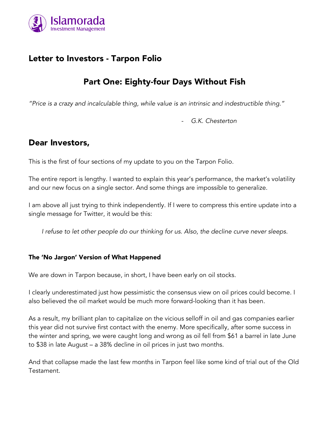

# Letter to Investors - Tarpon Folio

# Part One: Eighty-four Days Without Fish

*"Price is a crazy and incalculable thing, while value is an intrinsic and indestructible thing."*

- *G.K. Chesterton*

## Dear Investors,

This is the first of four sections of my update to you on the Tarpon Folio.

The entire report is lengthy. I wanted to explain this year's performance, the market's volatility and our new focus on a single sector. And some things are impossible to generalize.

I am above all just trying to think independently. If I were to compress this entire update into a single message for Twitter, it would be this:

*I refuse to let other people do our thinking for us. Also, the decline curve never sleeps.*

#### The 'No Jargon' Version of What Happened

We are down in Tarpon because, in short, I have been early on oil stocks.

I clearly underestimated just how pessimistic the consensus view on oil prices could become. I also believed the oil market would be much more forward-looking than it has been.

As a result, my brilliant plan to capitalize on the vicious selloff in oil and gas companies earlier this year did not survive first contact with the enemy. More specifically, after some success in the winter and spring, we were caught long and wrong as oil fell from \$61 a barrel in late June to \$38 in late August – a 38% decline in oil prices in just two months.

And that collapse made the last few months in Tarpon feel like some kind of trial out of the Old Testament.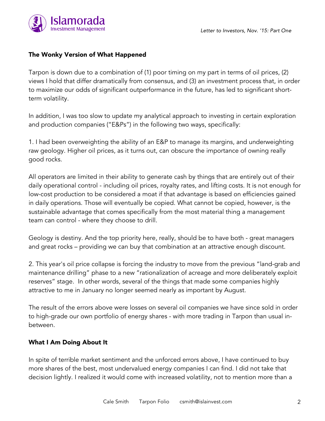

#### The Wonky Version of What Happened

Tarpon is down due to a combination of (1) poor timing on my part in terms of oil prices, (2) views I hold that differ dramatically from consensus, and (3) an investment process that, in order to maximize our odds of significant outperformance in the future, has led to significant shortterm volatility.

In addition, I was too slow to update my analytical approach to investing in certain exploration and production companies ("E&Ps") in the following two ways, specifically:

1. I had been overweighting the ability of an E&P to manage its margins, and underweighting raw geology. Higher oil prices, as it turns out, can obscure the importance of owning really good rocks.

All operators are limited in their ability to generate cash by things that are entirely out of their daily operational control - including oil prices, royalty rates, and lifting costs. It is not enough for low-cost production to be considered a moat if that advantage is based on efficiencies gained in daily operations. Those will eventually be copied. What cannot be copied, however, is the sustainable advantage that comes specifically from the most material thing a management team can control - where they choose to drill.

Geology is destiny. And the top priority here, really, should be to have both - great managers and great rocks – providing we can buy that combination at an attractive enough discount.

2. This year's oil price collapse is forcing the industry to move from the previous "land-grab and maintenance drilling" phase to a new "rationalization of acreage and more deliberately exploit reserves" stage. In other words, several of the things that made some companies highly attractive to me in January no longer seemed nearly as important by August.

The result of the errors above were losses on several oil companies we have since sold in order to high-grade our own portfolio of energy shares - with more trading in Tarpon than usual inbetween.

#### What I Am Doing About It

In spite of terrible market sentiment and the unforced errors above, I have continued to buy more shares of the best, most undervalued energy companies I can find. I did not take that decision lightly. I realized it would come with increased volatility, not to mention more than a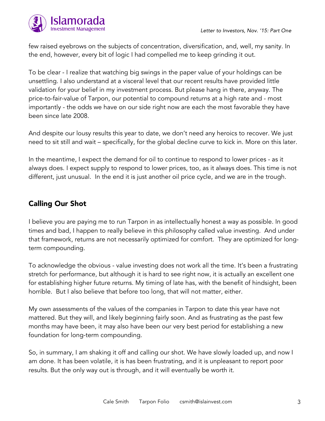



few raised eyebrows on the subjects of concentration, diversification, and, well, my sanity. In the end, however, every bit of logic I had compelled me to keep grinding it out.

To be clear - I realize that watching big swings in the paper value of your holdings can be unsettling. I also understand at a visceral level that our recent results have provided little validation for your belief in my investment process. But please hang in there, anyway. The price-to-fair-value of Tarpon, our potential to compound returns at a high rate and - most importantly - the odds we have on our side right now are each the most favorable they have been since late 2008.

And despite our lousy results this year to date, we don't need any heroics to recover. We just need to sit still and wait – specifically, for the global decline curve to kick in. More on this later.

In the meantime, I expect the demand for oil to continue to respond to lower prices - as it always does. I expect supply to respond to lower prices, too, as it always does. This time is not different, just unusual. In the end it is just another oil price cycle, and we are in the trough.

## Calling Our Shot

I believe you are paying me to run Tarpon in as intellectually honest a way as possible. In good times and bad, I happen to really believe in this philosophy called value investing. And under that framework, returns are not necessarily optimized for comfort. They are optimized for longterm compounding.

To acknowledge the obvious - value investing does not work all the time. It's been a frustrating stretch for performance, but although it is hard to see right now, it is actually an excellent one for establishing higher future returns. My timing of late has, with the benefit of hindsight, been horrible. But I also believe that before too long, that will not matter, either.

My own assessments of the values of the companies in Tarpon to date this year have not mattered. But they will, and likely beginning fairly soon. And as frustrating as the past few months may have been, it may also have been our very best period for establishing a new foundation for long-term compounding.

So, in summary, I am shaking it off and calling our shot. We have slowly loaded up, and now I am done. It has been volatile, it is has been frustrating, and it is unpleasant to report poor results. But the only way out is through, and it will eventually be worth it.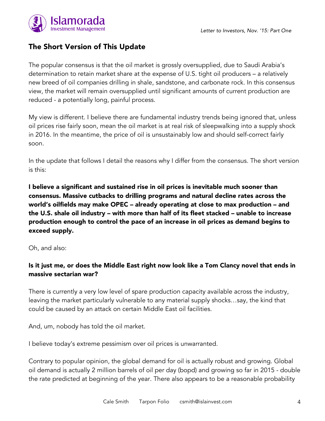



### The Short Version of This Update

The popular consensus is that the oil market is grossly oversupplied, due to Saudi Arabia's determination to retain market share at the expense of U.S. tight oil producers – a relatively new breed of oil companies drilling in shale, sandstone, and carbonate rock. In this consensus view, the market will remain oversupplied until significant amounts of current production are reduced - a potentially long, painful process.

My view is different. I believe there are fundamental industry trends being ignored that, unless oil prices rise fairly soon, mean the oil market is at real risk of sleepwalking into a supply shock in 2016. In the meantime, the price of oil is unsustainably low and should self-correct fairly soon.

In the update that follows I detail the reasons why I differ from the consensus. The short version is this:

I believe a significant and sustained rise in oil prices is inevitable much sooner than consensus. Massive cutbacks to drilling programs and natural decline rates across the world's oilfields may make OPEC – already operating at close to max production – and the U.S. shale oil industry – with more than half of its fleet stacked – unable to increase production enough to control the pace of an increase in oil prices as demand begins to exceed supply.

Oh, and also:

### Is it just me, or does the Middle East right now look like a Tom Clancy novel that ends in massive sectarian war?

There is currently a very low level of spare production capacity available across the industry, leaving the market particularly vulnerable to any material supply shocks…say, the kind that could be caused by an attack on certain Middle East oil facilities.

And, um, nobody has told the oil market.

I believe today's extreme pessimism over oil prices is unwarranted.

Contrary to popular opinion, the global demand for oil is actually robust and growing. Global oil demand is actually 2 million barrels of oil per day (bopd) and growing so far in 2015 - double the rate predicted at beginning of the year. There also appears to be a reasonable probability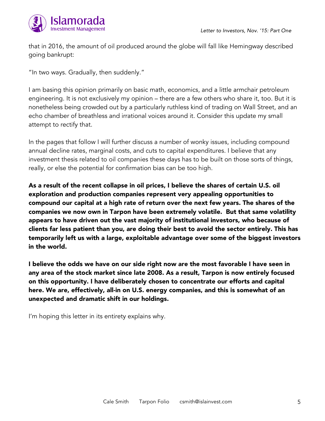



that in 2016, the amount of oil produced around the globe will fall like Hemingway described going bankrupt:

"In two ways. Gradually, then suddenly."

I am basing this opinion primarily on basic math, economics, and a little armchair petroleum engineering. It is not exclusively my opinion – there are a few others who share it, too. But it is nonetheless being crowded out by a particularly ruthless kind of trading on Wall Street, and an echo chamber of breathless and irrational voices around it. Consider this update my small attempt to rectify that.

In the pages that follow I will further discuss a number of wonky issues, including compound annual decline rates, marginal costs, and cuts to capital expenditures. I believe that any investment thesis related to oil companies these days has to be built on those sorts of things, really, or else the potential for confirmation bias can be too high.

As a result of the recent collapse in oil prices, I believe the shares of certain U.S. oil exploration and production companies represent very appealing opportunities to compound our capital at a high rate of return over the next few years. The shares of the companies we now own in Tarpon have been extremely volatile. But that same volatility appears to have driven out the vast majority of institutional investors, who because of clients far less patient than you, are doing their best to avoid the sector entirely. This has temporarily left us with a large, exploitable advantage over some of the biggest investors in the world.

I believe the odds we have on our side right now are the most favorable I have seen in any area of the stock market since late 2008. As a result, Tarpon is now entirely focused on this opportunity. I have deliberately chosen to concentrate our efforts and capital here. We are, effectively, all-in on U.S. energy companies, and this is somewhat of an unexpected and dramatic shift in our holdings.

I'm hoping this letter in its entirety explains why.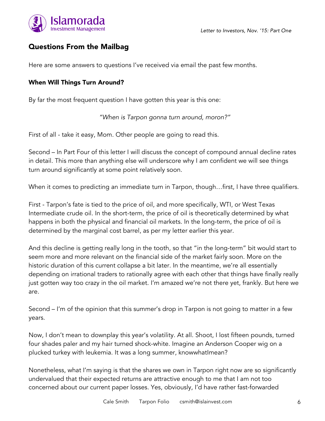

### Questions From the Mailbag

Here are some answers to questions I've received via email the past few months.

#### When Will Things Turn Around?

By far the most frequent question I have gotten this year is this one:

*"When is Tarpon gonna turn around, moron?"*

First of all - take it easy, Mom. Other people are going to read this.

Second – In Part Four of this letter I will discuss the concept of compound annual decline rates in detail. This more than anything else will underscore why I am confident we will see things turn around significantly at some point relatively soon.

When it comes to predicting an immediate turn in Tarpon, though…first, I have three qualifiers.

First - Tarpon's fate is tied to the price of oil, and more specifically, WTI, or West Texas Intermediate crude oil. In the short-term, the price of oil is theoretically determined by what happens in both the physical and financial oil markets. In the long-term, the price of oil is determined by the marginal cost barrel, as per my letter earlier this year.

And this decline is getting really long in the tooth, so that "in the long-term" bit would start to seem more and more relevant on the financial side of the market fairly soon. More on the historic duration of this current collapse a bit later. In the meantime, we're all essentially depending on irrational traders to rationally agree with each other that things have finally really just gotten way too crazy in the oil market. I'm amazed we're not there yet, frankly. But here we are.

Second – I'm of the opinion that this summer's drop in Tarpon is not going to matter in a few years.

Now, I don't mean to downplay this year's volatility. At all. Shoot, I lost fifteen pounds, turned four shades paler and my hair turned shock-white. Imagine an Anderson Cooper wig on a plucked turkey with leukemia. It was a long summer, knowwhatImean?

Nonetheless, what I'm saying is that the shares we own in Tarpon right now are so significantly undervalued that their expected returns are attractive enough to me that I am not too concerned about our current paper losses. Yes, obviously, I'd have rather fast-forwarded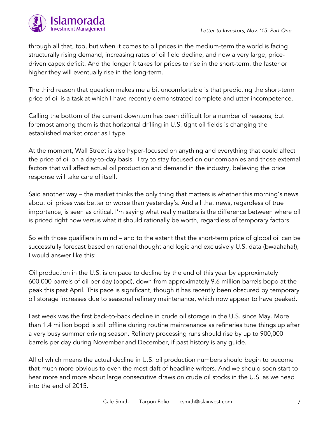

through all that, too, but when it comes to oil prices in the medium-term the world is facing structurally rising demand, increasing rates of oil field decline, and now a very large, pricedriven capex deficit. And the longer it takes for prices to rise in the short-term, the faster or higher they will eventually rise in the long-term.

The third reason that question makes me a bit uncomfortable is that predicting the short-term price of oil is a task at which I have recently demonstrated complete and utter incompetence.

Calling the bottom of the current downturn has been difficult for a number of reasons, but foremost among them is that horizontal drilling in U.S. tight oil fields is changing the established market order as I type.

At the moment, Wall Street is also hyper-focused on anything and everything that could affect the price of oil on a day-to-day basis. I try to stay focused on our companies and those external factors that will affect actual oil production and demand in the industry, believing the price response will take care of itself.

Said another way – the market thinks the only thing that matters is whether this morning's news about oil prices was better or worse than yesterday's. And all that news, regardless of true importance, is seen as critical. I'm saying what really matters is the difference between where oil is priced right now versus what it should rationally be worth, regardless of temporary factors.

So with those qualifiers in mind – and to the extent that the short-term price of global oil can be successfully forecast based on rational thought and logic and exclusively U.S. data (bwaahaha!), I would answer like this:

Oil production in the U.S. is on pace to decline by the end of this year by approximately 600,000 barrels of oil per day (bopd), down from approximately 9.6 million barrels bopd at the peak this past April. This pace is significant, though it has recently been obscured by temporary oil storage increases due to seasonal refinery maintenance, which now appear to have peaked.

Last week was the first back-to-back decline in crude oil storage in the U.S. since May. More than 1.4 million bopd is still offline during routine maintenance as refineries tune things up after a very busy summer driving season. Refinery processing runs should rise by up to 900,000 barrels per day during November and December, if past history is any guide.

All of which means the actual decline in U.S. oil production numbers should begin to become that much more obvious to even the most daft of headline writers. And we should soon start to hear more and more about large consecutive draws on crude oil stocks in the U.S. as we head into the end of 2015.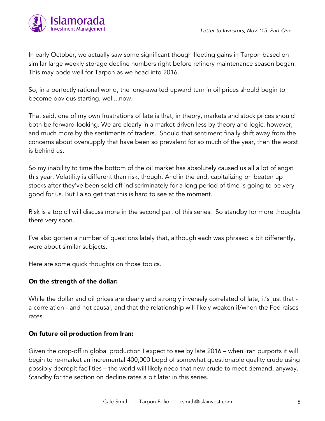

In early October, we actually saw some significant though fleeting gains in Tarpon based on similar large weekly storage decline numbers right before refinery maintenance season began. This may bode well for Tarpon as we head into 2016.

So, in a perfectly rational world, the long-awaited upward turn in oil prices should begin to become obvious starting, well...now.

That said, one of my own frustrations of late is that, in theory, markets and stock prices should both be forward-looking. We are clearly in a market driven less by theory and logic, however, and much more by the sentiments of traders. Should that sentiment finally shift away from the concerns about oversupply that have been so prevalent for so much of the year, then the worst is behind us.

So my inability to time the bottom of the oil market has absolutely caused us all a lot of angst this year. Volatility is different than risk, though. And in the end, capitalizing on beaten up stocks after they've been sold off indiscriminately for a long period of time is going to be very good for us. But I also get that this is hard to see at the moment.

Risk is a topic I will discuss more in the second part of this series. So standby for more thoughts there very soon.

I've also gotten a number of questions lately that, although each was phrased a bit differently, were about similar subjects.

Here are some quick thoughts on those topics.

#### On the strength of the dollar:

While the dollar and oil prices are clearly and strongly inversely correlated of late, it's just that a correlation - and not causal, and that the relationship will likely weaken if/when the Fed raises rates.

#### On future oil production from Iran:

Given the drop-off in global production I expect to see by late 2016 – when Iran purports it will begin to re-market an incremental 400,000 bopd of somewhat questionable quality crude using possibly decrepit facilities – the world will likely need that new crude to meet demand, anyway. Standby for the section on decline rates a bit later in this series.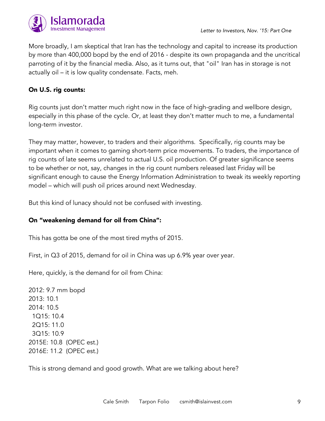

More broadly, I am skeptical that Iran has the technology and capital to increase its production by more than 400,000 bopd by the end of 2016 - despite its own propaganda and the uncritical parroting of it by the financial media. Also, as it turns out, that "oil" Iran has in storage is not actually oil – it is low quality condensate. Facts, meh.

#### On U.S. rig counts:

Rig counts just don't matter much right now in the face of high-grading and wellbore design, especially in this phase of the cycle. Or, at least they don't matter much to me, a fundamental long-term investor.

They may matter, however, to traders and their algorithms. Specifically, rig counts may be important when it comes to gaming short-term price movements. To traders, the importance of rig counts of late seems unrelated to actual U.S. oil production. Of greater significance seems to be whether or not, say, changes in the rig count numbers released last Friday will be significant enough to cause the Energy Information Administration to tweak its weekly reporting model – which will push oil prices around next Wednesday.

But this kind of lunacy should not be confused with investing.

#### On "weakening demand for oil from China":

This has gotta be one of the most tired myths of 2015.

First, in Q3 of 2015, demand for oil in China was up 6.9% year over year.

Here, quickly, is the demand for oil from China:

2012: 9.7 mm bopd 2013: 10.1 2014: 10.5 1Q15: 10.4 2Q15: 11.0 3Q15: 10.9 2015E: 10.8 (OPEC est.) 2016E: 11.2 (OPEC est.)

This is strong demand and good growth. What are we talking about here?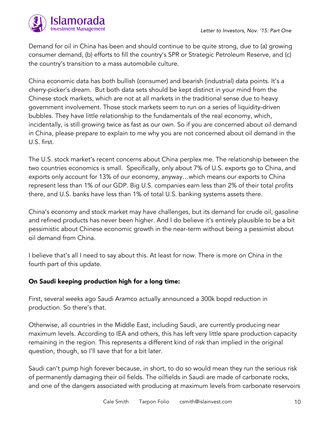

Demand for oil in China has been and should continue to be quite strong, due to (a) growing consumer demand, (b) efforts to fill the country's SPR or Strategic Petroleum Reserve, and (c) the country's transition to a mass automobile culture.

China economic data has both bullish (consumer) and bearish (industrial) data points. It's a cherry-picker's dream. But both data sets should be kept distinct in your mind from the Chinese stock markets, which are not at all markets in the traditional sense due to heavy government involvement. Those stock markets seem to run on a series of liquidity-driven bubbles. They have little relationship to the fundamentals of the real economy, which, incidentally, is still growing twice as fast as our own. So if you are concerned about oil demand in China, please prepare to explain to me why you are not concerned about oil demand in the U.S. first.

The U.S. stock market's recent concerns about China perplex me. The relationship between the two countries economics is small. Specifically, only about 7% of U.S. exports go to China, and exports only account for 13% of our economy, anyway…which means our exports to China represent less than 1% of our GDP. Big U.S. companies earn less than 2% of their total profits there, and U.S. banks have less than 1% of total U.S. banking systems assets there.

China's economy and stock market may have challenges, but its demand for crude oil, gasoline and refined products has never been higher. And I do believe it's entirely plausible to be a bit pessimistic about Chinese economic growth in the near-term without being a pessimist about oil demand from China.

I believe that's all I need to say about this. At least for now. There is more on China in the fourth part of this update.

#### On Saudi keeping production high for a long time:

First, several weeks ago Saudi Aramco actually announced a 300k bopd reduction in production. So there's that.

Otherwise, all countries in the Middle East, including Saudi, are currently producing near maximum levels. According to IEA and others, this has left very little spare production capacity remaining in the region. This represents a different kind of risk than implied in the original question, though, so I'll save that for a bit later.

Saudi can't pump high forever because, in short, to do so would mean they run the serious risk of permanently damaging their oil fields. The oilfields in Saudi are made of carbonate rocks, and one of the dangers associated with producing at maximum levels from carbonate reservoirs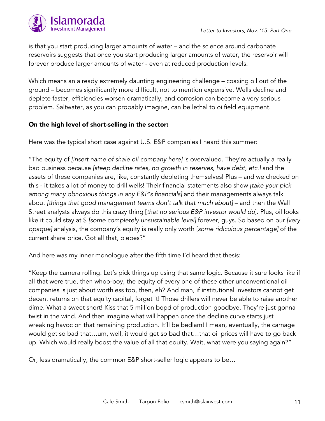

is that you start producing larger amounts of water – and the science around carbonate reservoirs suggests that once you start producing larger amounts of water, the reservoir will forever produce larger amounts of water - even at reduced production levels.

Which means an already extremely daunting engineering challenge – coaxing oil out of the ground – becomes significantly more difficult, not to mention expensive. Wells decline and deplete faster, efficiencies worsen dramatically, and corrosion can become a very serious problem. Saltwater, as you can probably imagine, can be lethal to oilfield equipment.

#### On the high level of short-selling in the sector:

Here was the typical short case against U.S. E&P companies I heard this summer:

"The equity of *[insert name of shale oil company here]* is overvalued. They're actually a really bad business because *[steep decline rates, no growth in reserves, have debt, etc.]* and the assets of these companies are, like, constantly depleting themselves! Plus – and we checked on this - it takes a lot of money to drill wells! Their financial statements also show *[take your pick among many obnoxious things in any E&P's financials]* and their managements always talk about *[things that good management teams don't talk that much about]* – and then the Wall Street analysts always do this crazy thing [*that no serious E&P investor would do*]. Plus, oil looks like it could stay at \$ *[some completely unsustainable level]* forever, guys. So based on our *[very opaque]* analysis, the company's equity is really only worth [*some ridiculous percentage]* of the current share price. Got all that, plebes?"

And here was my inner monologue after the fifth time I'd heard that thesis:

"Keep the camera rolling. Let's pick things up using that same logic. Because it sure looks like if all that were true, then whoo-boy, the equity of every one of these other unconventional oil companies is just about worthless too, then, eh? And man, if institutional investors cannot get decent returns on that equity capital, forget it! Those drillers will never be able to raise another dime. What a sweet short! Kiss that 5 million bopd of production goodbye. They're just gonna twist in the wind. And then imagine what will happen once the decline curve starts just wreaking havoc on that remaining production. It'll be bedlam! I mean, eventually, the carnage would get so bad that…um, well, it would get so bad that…that oil prices will have to go back up. Which would really boost the value of all that equity. Wait, what were you saying again?"

Or, less dramatically, the common E&P short-seller logic appears to be…